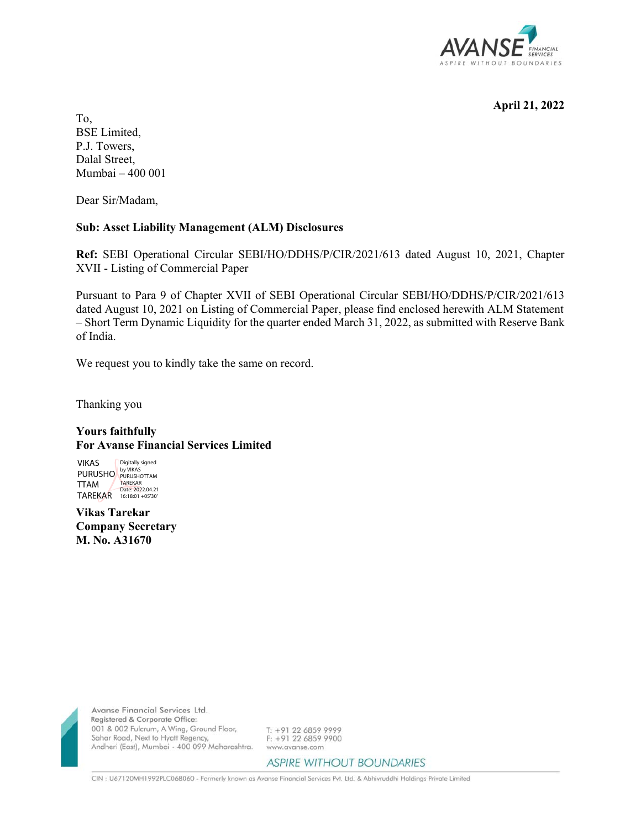

**April 21, 2022** 

To, BSE Limited, P.J. Towers, Dalal Street, Mumbai – 400 001

Dear Sir/Madam,

## **Sub: Asset Liability Management (ALM) Disclosures**

**Ref:** SEBI Operational Circular SEBI/HO/DDHS/P/CIR/2021/613 dated August 10, 2021, Chapter XVII - Listing of Commercial Paper

Pursuant to Para 9 of Chapter XVII of SEBI Operational Circular SEBI/HO/DDHS/P/CIR/2021/613 dated August 10, 2021 on Listing of Commercial Paper, please find enclosed herewith ALM Statement – Short Term Dynamic Liquidity for the quarter ended March 31, 2022, as submitted with Reserve Bank of India.

We request you to kindly take the same on record.

Thanking you

## **Yours faithfully For Avanse Financial Services Limited**

VIKAS PURUSHO PURUSHOTTAM TTAM TAREKAR Digitally signed TAREKAR Date: 2022.04.21 16:18:01 +05'30'

**Vikas Tarekar Company Secretary M. No. A31670**



Avanse Financial Services Ltd. Registered & Corporate Office: 001 & 002 Fulcrum, A Wing, Ground Floor, Sahar Road, Next to Hyatt Regency, Andheri (East), Mumbai - 400 099 Maharashtra.

T: +91 22 6859 9999 F: +91 22 6859 9900 www.avanse.com

**ASPIRE WITHOUT BOUNDARIES** 

CIN : U67120MH1992PLC068060 - Formerly known as Avanse Financial Services Pvt. Ltd. & Abhivruddhi Holdings Private Limited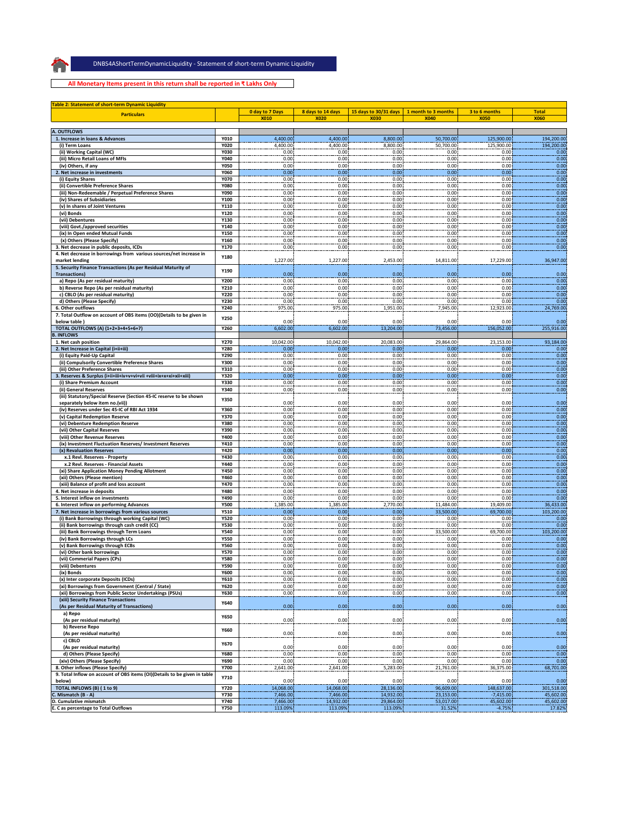$\bigcap$ 

**DNBS4AShortTermDynamicLiquidity ‐ Statement of short‐term Dynamic Liquidity** DNBS4AShortTermDynamicLiquidity ‐ Statement of short‐term Dynamic Liquidity

**All Monetary Items present in this return shall be reported in ₹ Lakhs Only**

| <b>Table 2: Statement of short-term Dynamic Liquidity</b><br><b>Particulars</b>          |                            | <b>0 day to 7 Days</b><br><b>X010</b> | 8 days to 14 days<br><b>X020</b> | 15 days to 30/31 days<br><b>X030</b> | 1 month to 3 months<br><b>X040</b> | 3 to 6 months<br><b>X050</b> | <b>Total</b><br><b>X060</b> |
|------------------------------------------------------------------------------------------|----------------------------|---------------------------------------|----------------------------------|--------------------------------------|------------------------------------|------------------------------|-----------------------------|
| A. OUTFLOWS                                                                              |                            |                                       |                                  |                                      |                                    |                              |                             |
| 1. Increase in loans & Advances                                                          | Y010                       | 4,400.00                              | 4,400.00                         | 8,800.00                             | 50,700.00                          | 125,900.00                   | 194,200.00                  |
| (i) Term Loans                                                                           | <b>Y020</b>                | 4,400.00                              | 4,400.00                         | 8,800.00                             | 50,700.00                          | 125,900.00                   | 194,200.00                  |
| (ii) Working Capital (WC)<br>(iii) Micro Retail Loans of MFIs                            | <b>Y030</b><br>Y040        | 0.00<br>0.00                          | 0.00<br>0.00                     | 0.00<br>0.00                         | 0.00<br>0.00                       | 0.00<br>0.00                 | 0.00<br>0.00                |
| (iv) Others, if any                                                                      | <b>Y050</b>                | 0.00                                  | 0.00                             | 0.00                                 | 0.00                               | 0.00                         | 0.00                        |
| 2. Net increase in investments                                                           | <b>Y060</b>                | 0.00                                  | 0.00                             | 0.00                                 | 0.00                               | 0.00                         | 0.00                        |
| (i) Equity Shares                                                                        | <b>Y070</b>                | 0.00                                  | 0.00                             | 0.00                                 | 0.00                               | 0.00                         | 0.00                        |
| (ii) Convertible Preference Shares                                                       | <b>Y080</b>                | 0.00                                  | 0.00                             | 0.00                                 | 0.00                               | 0.00                         | 0.00                        |
| (iii) Non-Redeemable / Perpetual Preference Shares<br>(iv) Shares of Subsidiaries        | Y090<br>Y100               | 0.00<br>0.00                          | 0.00<br>0.00                     | 0.00<br>0.00                         | 0.00<br>0.00                       | 0.00<br>0.00                 | 0.00<br>0.00                |
| (v) In shares of Joint Ventures                                                          | Y110                       | 0.00                                  | 0.00                             | 0.00                                 | 0.00                               | 0.00                         | 0.00                        |
| (vi) Bonds                                                                               | Y120                       | 0.00                                  | 0.00                             | 0.00                                 | 0.00                               | 0.00                         | 0.00                        |
| (vii) Debentures                                                                         | Y130                       | 0.00                                  | 0.00                             | 0.00                                 | 0.00                               | 0.00                         | 0.00                        |
| (viii) Govt./approved securities                                                         | Y140                       | 0.00                                  | 0.00                             | 0.00                                 | 0.00                               | 0.00                         | 0.00                        |
| (ix) In Open ended Mutual Funds<br>(x) Others (Please Specify)                           | Y150<br>Y160               | 0.00<br>0.00                          | 0.00<br>0.00                     | 0.00<br>0.00                         | 0.00<br>0.00                       | 0.00<br>0.00                 | 0.00<br>0.00                |
| 3. Net decrease in public deposits, ICDs                                                 | Y170                       | 0.00                                  | 0.00                             | 0.00                                 | 0.00                               | 0.00                         | 0.00                        |
| 4. Net decrease in borrowings from various sources/net increase in                       |                            |                                       |                                  |                                      |                                    |                              |                             |
| market lending                                                                           | Y180                       | 1,227.00                              | 1,227.00                         | 2,453.00                             | 14,811.00                          | 17,229.00                    | 36,947.00                   |
| 5. Security Finance Transactions (As per Residual Maturity of                            | Y190                       |                                       |                                  |                                      |                                    |                              |                             |
| <b>Transactions)</b><br>a) Repo (As per residual maturity)                               | Y200                       | 0.00<br>0.00                          | 0.00<br>0.00                     | 0.00<br>0.00                         | 0.00<br>0.00                       | 0.00<br>0.00                 | 0.00<br>0.00                |
| b) Reverse Repo (As per residual maturity)                                               | Y210                       | 0.00                                  | 0.00                             | 0.00                                 | 0.00                               | 0.00                         | 0.00                        |
| c) CBLO (As per residual maturity)                                                       | Y220                       | 0.00                                  | 0.00                             | 0.00                                 | 0.00                               | 0.00                         | 0.00                        |
| d) Others (Please Specify)                                                               | Y230                       | 0.00                                  | 0.00                             | 0.00                                 | 0.00                               | 0.00                         | 0.00                        |
| 6. Other outflows                                                                        | Y240                       | 975.00                                | 975.00                           | 1,951.00                             | 7,945.00                           | 12,923.00                    | 24,769.00                   |
| 7. Total Outflow on account of OBS items (OO)(Details to be given in                     | <b>Y250</b>                |                                       |                                  |                                      |                                    |                              |                             |
| below table<br>TOTAL OUTFLOWS (A) (1+2+3+4+5+6+7)                                        | Y260                       | 0.00<br>6,602.00                      | 0.00<br>6,602.00                 | 0.00<br>13,204.00                    | 0.00<br>73,456.00                  | 0.00<br>156,052.00           | 0.00<br>255,916.00          |
| <b>B. INFLOWS</b>                                                                        |                            |                                       |                                  |                                      |                                    |                              |                             |
| 1. Net cash position                                                                     | Y270                       | 10,042.00                             | 10,042.00                        | 20,083.00                            | 29,864.00                          | 23,153.00                    | 93,184.00                   |
| 2. Net Increase in Capital (i+ii+iii)                                                    | Y280                       | 0.00                                  | 0.00                             | 0.00                                 | 0.00                               | 0.00                         | 0.00                        |
| (i) Equity Paid-Up Capital                                                               | Y290                       | 0.00                                  | 0.00                             | 0.00                                 | 0.00                               | 0.00                         | 0.00                        |
| (ii) Compulsorily Convertible Preference Shares<br>(iii) Other Preference Shares         | Y300<br>Y310               | 0.00<br>0.00                          | 0.00<br>0.00                     | 0.00<br>0.00                         | 0.00<br>0.00                       | 0.00<br>0.00                 | 0.00<br>0.00                |
| 3. Reserves & Surplus (i+ii+iii+iv+v+vi+vii +viii+ix+x+xi+xii+xiii)                      | Y320                       | 0.00                                  | 0.00                             | 0.00                                 | 0.00                               | 0.00                         | 0.00                        |
| (i) Share Premium Account                                                                | Y330                       | 0.00                                  | 0.00                             | 0.00                                 | 0.00                               | 0.00                         | 0.00                        |
| (ii) General Reserves                                                                    | Y340                       | 0.00                                  | 0.00                             | 0.00                                 | 0.00                               | 0.00                         | 0.00                        |
| (iii) Statutory/Special Reserve (Section 45-IC reserve to be shown                       | <b>Y350</b>                |                                       |                                  |                                      |                                    |                              |                             |
| separately below item no.(vii))                                                          |                            | 0.00                                  | 0.00                             | 0.00                                 | 0.00                               | 0.00                         | 0.00                        |
| (iv) Reserves under Sec 45-IC of RBI Act 1934<br>(v) Capital Redemption Reserve          | Y360<br><b>Y370</b>        | 0.00<br>0.00                          | 0.00<br>0.00                     | 0.00<br>0.00                         | 0.00<br>0.00                       | 0.00<br>0.00                 | 0.00<br>0.00                |
| (vi) Debenture Redemption Reserve                                                        | Y380                       | 0.00                                  | 0.00                             | 0.00                                 | 0.00                               | 0.00                         | 0.00                        |
| (vii) Other Capital Reserves                                                             | Y390                       | 0.00                                  | 0.00                             | 0.00                                 | 0.00                               | 0.00                         | 0.00                        |
| (viii) Other Revenue Reserves                                                            | Y400                       | 0.00                                  | 0.00                             | 0.00                                 | 0.00                               | 0.00                         | 0.00                        |
| (ix) Investment Fluctuation Reserves/ Investment Reserves                                | Y410                       | 0.00                                  | 0.00                             | 0.00                                 | 0.00                               | 0.00                         | 0.00                        |
| (x) Revaluation Reserves<br>x.1 Revl. Reserves - Property                                | Y420<br>Y430               | 0.00<br>0.00                          | 0.00<br>0.00                     | 0.00<br>0.00                         | 0.00<br>0.00                       | 0.00<br>0.00                 | 0.00<br>0.00                |
| x.2 Revl. Reserves - Financial Assets                                                    | Y440                       | 0.00                                  | 0.00                             | 0.00                                 | 0.00                               | 0.00                         | 0.00                        |
| (xi) Share Application Money Pending Allotment                                           | Y450                       | 0.00                                  | 0.00                             | 0.00                                 | 0.00                               | 0.00                         | 0.00                        |
| (xii) Others (Please mention)                                                            | Y460                       | 0.00                                  | 0.00                             | 0.00                                 | 0.00                               | 0.00                         | 0.00                        |
| (xiii) Balance of profit and loss account                                                | Y470                       | 0.00                                  | 0.00                             | 0.00                                 | 0.00                               | 0.00                         | 0.00                        |
| 4. Net increase in deposits<br>5. Interest inflow on investments                         | Y480<br>Y490               | 0.00<br>0.00                          | 0.00<br>0.00                     | 0.00<br>0.00                         | 0.00<br>0.00                       | 0.00<br>0.00                 | 0.00<br>0.00                |
| 6. Interest inflow on performing Advances                                                | <b>Y500</b>                | 1,385.00                              | 1,385.00                         | 2,770.00                             | 11,484.00                          | 19,409.00                    | 36,433.00                   |
| 7. Net increase in borrowings from various sources                                       | Y510                       | 0.00                                  | 0.00                             | 0.00                                 | 33.500.00                          | 69,700.00                    | 103,200.00                  |
| (i) Bank Borrowings through working Capital (WC)                                         | <b>Y520</b>                | 0.00                                  | 0.00                             | 0.00                                 | 0.00                               | 0.00                         | 0.00                        |
| (ii) Bank borrowings through cash credit (CC)                                            | <b>Y530</b>                | 0.00                                  | 0.00                             | 0.00                                 | 0.00                               | 0.00                         | 0.00                        |
| (iii) Bank Borrowings through Term Loans<br>(iv) Bank Borrowings through LCs             | <b>Y540</b><br><b>Y550</b> | 0.00<br>0.00                          | 0.00<br>0.00                     | 0.00<br>0.00                         | 33,500.00<br>0.00                  | 69,700.00<br>0.00            | 103,200.00<br>0.00          |
| (v) Bank Borrowings through ECBs                                                         | <b>Y560</b>                | 0.00                                  | 0.00                             | 0.00                                 | 0.00                               | 0.00                         | 0.00                        |
| (vi) Other bank borrowings                                                               | <b>Y570</b>                | 0.00                                  | 0.00                             | 0.00                                 | 0.00                               | 0.00                         | 0.00                        |
| (vii) Commerial Papers (CPs)                                                             | <b>Y580</b>                | 0.00                                  | 0.00                             | 0.00                                 | 0.00                               | 0.00                         | 0.00                        |
| (viii) Debentures                                                                        | <b>Y590</b>                | 0.00                                  | 0.00                             | 0.00                                 | 0.00                               | 0.00                         | 0.00                        |
| IX) BONGS                                                                                | <b>Y GUU</b><br>Y610       | 0.00                                  |                                  |                                      | 0.00                               | 0.00                         | 0.00<br>0.00                |
| (x) Inter corporate Deposits (ICDs)<br>(xi) Borrowings from Government (Central / State) | Y620                       | 0.00                                  | 0.00<br>0.00                     | 0.00<br>0.00                         | 0.00                               | 0.00                         | 0.00                        |
| (xii) Borrowings from Public Sector Undertakings (PSUs)                                  | Y630                       | 0.00                                  | 0.00                             | 0.00                                 | 0.00                               | 0.00                         | 0.00                        |
| (xiii) Security Finance Transactions                                                     | Y640                       |                                       |                                  |                                      |                                    |                              |                             |
| (As per Residual Maturity of Transactions)                                               |                            | 0.00                                  | 0.00                             | 0.00                                 | 0.00                               | 0.00                         | 0.00                        |
| a) Repo                                                                                  | Y650                       |                                       |                                  |                                      |                                    |                              |                             |
| (As per residual maturity)                                                               |                            | 0.00                                  | 0.00                             | 0.00                                 | 0.00                               | 0.00                         | 0.00                        |
| b) Reverse Repo<br>(As per residual maturity)                                            | Y660                       | 0.00                                  | 0.00                             | 0.00                                 | 0.00                               | 0.00                         | 0.00                        |
| c) CBLO                                                                                  |                            |                                       |                                  |                                      |                                    |                              |                             |
| (As per residual maturity)                                                               | Y670                       | 0.00                                  | 0.00                             | 0.00                                 | 0.00                               | 0.00                         | 0.00                        |
| d) Others (Please Specify)                                                               | Y680                       | 0.00                                  | 0.00                             | 0.00                                 | 0.00                               | 0.00                         | 0.00                        |
| (xiv) Others (Please Specify)<br>8. Other inflows (Please Specify)                       | Y690<br><b>Y700</b>        | 0.00                                  | 0.00                             | 0.00                                 | 0.00<br>21,761.00                  | 0.00                         | 0.00<br>68,701.00           |
| 9. Total Inflow on account of OBS items (OI)(Details to be given in table                |                            | 2,641.00                              | 2,641.00                         | 5,283.00                             |                                    | 36,375.00                    |                             |
| below)                                                                                   | Y710                       | 0.00                                  | 0.00                             | 0.00                                 | 0.00                               | 0.00                         | 0.00                        |
| TOTAL INFLOWS (B) (1 to 9)                                                               | Y720                       | 14,068.00                             | 14,068.00                        | 28,136.00                            | 96,609.00                          | 148,637.00                   | 301,518.00                  |
| C. Mismatch (B - A)                                                                      | Y730                       | 7,466.00                              | 7,466.00                         | 14,932.00                            | 23,153.00                          | $-7,415.00$                  | 45,602.00                   |
| D. Cumulative mismatch                                                                   | Y740                       | 7,466.00                              | 14,932.00                        | 29,864.00                            | 53,017.00                          | 45,602.00                    | 45,602.00                   |
| E. C as percentage to Total Outflows                                                     | <b>Y750</b>                | 113.09%                               | 113.09%                          | 113.09%                              | 31.52%                             | $-4.75%$                     | 17.82%                      |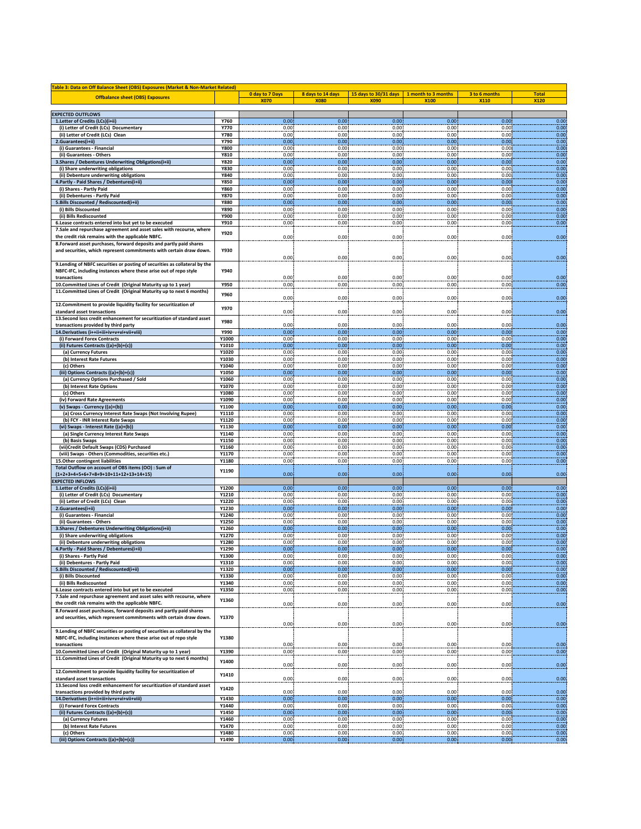| Table 3: Data on Off Balance Sheet (OBS) Exposures (Market & Non-Market Related)               |                            |                   |                   |                       |                     |               |              |
|------------------------------------------------------------------------------------------------|----------------------------|-------------------|-------------------|-----------------------|---------------------|---------------|--------------|
| <b>Offbalance sheet (OBS) Exposures</b>                                                        |                            | 0 day to 7 Days   | 8 days to 14 days | 15 days to 30/31 days | 1 month to 3 months | 3 to 6 months | <b>Total</b> |
|                                                                                                |                            | <b>X070</b>       | <b>X080</b>       | <b>X090</b>           | X100                | X110          | <b>X120</b>  |
| <b>EXPECTED OUTFLOWS</b>                                                                       |                            |                   |                   |                       |                     |               |              |
| 1.Letter of Credits (LCs)(i+ii)                                                                | Y760                       | 0.00              | 0.00              | 0.00                  | 0.00                | 0.00          | 0.00         |
| (i) Letter of Credit (LCs) Documentary                                                         | Y770                       | 0.00              | 0.00              | 0.00                  | 0.00                | 0.00          | 0.00         |
| (ii) Letter of Credit (LCs) Clean                                                              | <b>Y780</b>                | 0.00              | 0.00              | 0.00                  | 0.00                | 0.00          | 0.00         |
| 2.Guarantees(i+ii)                                                                             | Y790                       | 0.00              | 0.00              | 0.00                  | 0.00                | 0.00          | 0.00         |
| (i) Guarantees - Financial                                                                     | <b>Y800</b>                | 0.00              | 0.00              | 0.00                  | 0.00                | 0.00          | 0.00         |
| (ii) Guarantees - Others<br>3. Shares / Debentures Underwriting Obligations(i+ii)              | Y810<br><b>Y820</b>        | 0.00<br>0.00      | 0.00<br>0.00      | 0.00<br>0.00          | 0.00<br>0.00        | 0.00<br>0.00  | 0.00<br>0.00 |
| (i) Share underwriting obligations                                                             | <b>Y830</b>                | 0.00              | 0.00              | 0.00                  | 0.00                | 0.00          | 0.00         |
| (ii) Debenture underwriting obligations                                                        | Y840                       | 0.00              | 0.00              | 0.00                  | 0.00                | 0.00          | 0.00         |
| 4. Partly - Paid Shares / Debentures(i+ii)                                                     | <b>Y850</b>                | 0.00              | 0.00              | 0.00                  | 0.00                | 0.00          | 0.00         |
| (i) Shares - Partly Paid                                                                       | <b>Y860</b>                | 0.00              | 0.00              | 0.00                  | 0.00                | 0.00          | 0.00         |
| (ii) Debentures - Partly Paid                                                                  | <b>Y870</b>                | 0.00              | 0.00              | 0.00                  | 0.00                | 0.00          | 0.00         |
| 5. Bills Discounted / Rediscounted(i+ii)                                                       | <b>Y880</b>                | 0.00              | 0.00              | 0.00                  | 0.00                | 0.00          | 0.00         |
| (i) Bills Discounted<br>(ii) Bills Rediscounted                                                | <b>Y890</b><br><b>Y900</b> | 0.00<br>0.00      | 0.00<br>0.00      | 0.00<br>0.00          | 0.00<br>0.00        | 0.00<br>0.00  | 0.00<br>0.00 |
| 6.Lease contracts entered into but yet to be executed                                          | Y910                       | 0.00              | 0.00              | 0.00                  | 0.00                | 0.00          | 0.00         |
| 7.Sale and repurchase agreement and asset sales with recourse, where                           |                            |                   |                   |                       |                     |               |              |
| the credit risk remains with the applicable NBFC.                                              | <b>Y920</b>                | 0.00              | 0.00              | 0.00                  | 0.00                | 0.00          | 0.00         |
| 8. Forward asset purchases, forward deposits and partly paid shares                            |                            |                   |                   |                       |                     |               |              |
| and securities, which represent commitments with certain draw down.                            | Y930                       |                   |                   |                       |                     |               |              |
|                                                                                                |                            | 0.00              | 0.00              | 0.00                  | 0.00                | 0.00          | 0.00         |
| 9. Lending of NBFC securities or posting of securities as collateral by the                    |                            |                   |                   |                       |                     |               |              |
| NBFC-IFC, including instances where these arise out of repo style                              | Y940                       |                   |                   |                       |                     |               |              |
| transactions<br>10. Committed Lines of Credit (Original Maturity up to 1 year)                 | <b>Y950</b>                | 0.00<br>0.00      | 0.00<br>0.00      | 0.00<br>0.00          | 0.00<br>0.00        | 0.00<br>0.00  | 0.00<br>0.00 |
| 11. Committed Lines of Credit (Original Maturity up to next 6 months)                          |                            |                   |                   |                       |                     |               |              |
|                                                                                                | Y960                       | 0.00              | 0.00              | 0.00                  | 0.00                | 0.00          | 0.00         |
| 12. Commitment to provide liquidity facility for securitization of                             |                            |                   |                   |                       |                     |               |              |
| standard asset transactions                                                                    | <b>Y970</b>                | 0.00              | 0.00              | 0.00                  | 0.00                | 0.00          | 0.00         |
| 13. Second loss credit enhancement for securitization of standard asset                        | <b>Y980</b>                |                   |                   |                       |                     |               |              |
| transactions provided by third party                                                           |                            | 0.00              | 0.00              | 0.00                  | 0.00                | 0.00          | 0.00         |
| 14. Derivatives (i++ii+iii+iv+v+vi+vii+viii)                                                   | Y990                       | 0.00              | 0.00              | 0.00                  | 0.00                | 0.00          | 0.00         |
| (i) Forward Forex Contracts<br>(ii) Futures Contracts ((a)+(b)+(c))                            | Y1000<br>Y1010             | 0.00<br>0.00      | 0.00<br>0.00      | 0.00<br>0.00          | 0.00<br>0.00        | 0.00<br>0.00  | 0.00<br>0.00 |
| (a) Currency Futures                                                                           | Y1020                      | 0.00              | 0.00              | 0.00                  | 0.00                | 0.00          | 0.00         |
| (b) Interest Rate Futures                                                                      | Y1030                      | 0.00              | 0.00              | 0.00                  | 0.00                | 0.00          | 0.00         |
| (c) Others                                                                                     | Y1040                      | 0.00              | 0.00              | 0.00                  | 0.00                | 0.00          | 0.00         |
| (iii) Options Contracts ((a)+(b)+(c))                                                          | Y1050                      | 0.00              | 0.00              | 0.00                  | 0.00                | 0.00          | 0.00         |
| (a) Currency Options Purchased / Sold                                                          | Y1060                      | 0.00              | 0.00              | 0.00                  | 0.00                | 0.00          | 0.00         |
| (b) Interest Rate Options                                                                      | Y1070                      | 0.00              | 0.00              | 0.00                  | 0.00                | 0.00          | 0.00         |
| (c) Others                                                                                     | Y1080                      | 0.00              | 0.00              | 0.00                  | 0.00                | 0.00          | 0.00         |
| (iv) Forward Rate Agreements                                                                   | Y1090                      | 0.00              | 0.00              | 0.00                  | 0.00                | 0.00          | 0.00         |
| (v) Swaps - Currency ((a)+(b))<br>(a) Cross Currency Interest Rate Swaps (Not Involving Rupee) | Y1100<br>Y1110             | 0.00<br>0.00      | 0.00<br>0.00      | 0.00<br>0.00          | 0.00<br>0.00        | 0.00<br>0.00  | 0.00<br>0.00 |
| (b) FCY - INR Interest Rate Swaps                                                              | Y1120                      | 0.00              | 0.00              | 0.00                  | 0.00                | 0.00          | 0.00         |
| (vi) Swaps - Interest Rate ((a)+(b))                                                           | Y1130                      | 0.00              | 0.00              | 0.00                  | 0.00                | 0.00          | 0.00         |
| (a) Single Currency Interest Rate Swaps                                                        | Y1140                      | 0.00              | 0.00              | 0.00                  | 0.00                | 0.00          | 0.00         |
| (b) Basis Swaps                                                                                | Y1150                      | 0.00              | 0.00              | 0.00                  | 0.00                | 0.00          | 0.00         |
| (vii)Credit Default Swaps (CDS) Purchased                                                      | Y1160                      | 0.00              | 0.00              | 0.00                  | 0.00                | 0.00          | 0.00         |
| (viii) Swaps - Others (Commodities, securities etc.)                                           | Y1170                      | 0.00              | 0.00              | 0.00                  | 0.00                | 0.00          | 0.00         |
| 15.Other contingent liabilities                                                                | Y1180                      | 0.00              | 0.00              | 0.00                  | 0.00                | 0.00          | 0.00         |
| Total Outflow on account of OBS items (OO) : Sum of<br>$(1+2+3+4+5+6+7+8+9+10+11+12+13+14+15)$ | Y1190                      | 0.00              | 0.00              | 0.00                  | 0.00                | 0.00          | 0.00         |
| <b>EXPECTED INFLOWS</b>                                                                        |                            |                   |                   |                       |                     |               |              |
| 1. Letter of Credits (LCs)(i+ii)                                                               | Y1200                      | 0.00              | 0.00              | 0.00                  | 0.00                | 0.00          | 0.00         |
| (i) Letter of Credit (LCs) Documentary                                                         | Y1210                      | 0.00              | 0.00              | 0.00                  | 0.00                | 0.00          | 0.00         |
| (ii) Letter of Credit (LCs) Clean                                                              | Y1220                      | 0.00              | 0.00              | 0.00                  | 0.00                | 0.00          | 0.00         |
| 2.Guarantees(i+ii                                                                              | Y1230                      | 0.00              | 0.00              | 0.00                  | 0.00                | 0.00          | 0.00         |
| (i) Guarantees - Financial<br>(ii) Guarantees - Others                                         | Y1240<br>Y1250             | 0.00<br>0.00      | 0.00<br>0.00      | 0.00<br>0.00          | 0.00<br>0.00        | 0.00<br>0.00  | 0.00         |
| 3. Shares / Debentures Underwriting Obligations(i+ii)                                          | Y1260                      | 0.00              | 0.00              | 0.00                  | 0.00                | 0.00          | 0.00<br>0.00 |
| (i) Share underwriting obligations                                                             | Y1270                      | 0.00              | 0.00              | 0.00                  | 0.00                | 0.00          | 0.00         |
| (ii) Debenture underwriting obligations                                                        | Y1280                      | 0.00              | 0.00              | 0.00                  | 0.00                | 0.00          | 0.00         |
| 4. Partly - Paid Shares / Debentures(i+ii)                                                     | Y1290                      | 0.00              | 0.00              | 0.00                  | 0.00                | 0.00          | 0.00         |
| (i) Shares - Partly Paid                                                                       | Y1300                      | 0.00              | 0.00              | 0.00                  | 0.00                | 0.00          | 0.00         |
| (ii) Debentures - Partly Paid                                                                  | Y1310                      | 0.00              | 0.00              | 0.00                  | 0.00                | 0.00          | 0.00         |
| 5. Bills Discounted / Rediscounted(i+ii)                                                       | Y1320                      | 0.00              | 0.00              | 0.00                  | 0.00                | 0.00          | 0.00         |
| (i) Bills Discounted<br>(ii) Bills Rediscounted                                                | Y1330<br>Y1340             | 0.00<br>0.00      | 0.00<br>0.00      | 0.00                  | 0.00<br>0.00        | 0.00<br>0.00  | 0.00<br>0.00 |
| 6.Lease contracts entered into but yet to be executed                                          | Y1350                      | 0.00              | 0.00              | 0.00<br>0.00          | 0.00                | 0.00          | 0.00         |
| 7.Sale and repurchase agreement and asset sales with recourse, where                           |                            |                   |                   |                       |                     |               |              |
| the credit risk remains with the applicable NBFC.                                              | Y1360                      | 0.00              | 0.00              | 0.00                  | 0.00                | 0.00          | 0.00         |
| 8. Forward asset purchases, forward deposits and partly paid shares                            |                            |                   |                   |                       |                     |               |              |
| and securities, which represent commitments with certain draw down.                            | Y1370                      |                   |                   |                       |                     |               |              |
|                                                                                                |                            | 0.00              | 0.00              | 0.00                  | 0.00                | 0.00          | 0.00         |
| 9. Lending of NBFC securities or posting of securities as collateral by the                    |                            |                   |                   |                       |                     |               |              |
| NBFC-IFC, including instances where these arise out of repo style                              | Y1380                      |                   |                   |                       |                     |               |              |
| transactions<br>10. Committed Lines of Credit (Original Maturity up to 1 year)                 | Y1390                      | 0.00<br>0.00      | 0.00<br>0.00      | 0.00<br>0.00          | 0.00<br>0.00        | 0.00<br>0.00  | 0.00<br>0.00 |
| 11. Committed Lines of Credit (Original Maturity up to next 6 months)                          |                            |                   |                   |                       |                     |               |              |
|                                                                                                | Y1400                      | 0.00              | 0.00              | 0.00                  | 0.00                | 0.00          | 0.00         |
| 12. Commitment to provide liquidity facility for securitization of                             |                            |                   |                   |                       |                     |               |              |
| standard asset transactions                                                                    | Y1410                      | 0.00              | 0.00              | 0.00                  | 0.00                | 0.00          | 0.00         |
| 13. Second loss credit enhancement for securitization of standard asset                        | Y1420                      |                   |                   |                       |                     |               |              |
| transactions provided by third party                                                           |                            | 0.00              | 0.00              | 0.00                  | 0.00                | 0.00          | 0.00         |
| 14. Derivatives (i++ii+iii+iv+v+vi+vii+viii)                                                   | Y1430                      | 0.00 <sub>1</sub> | 0.00              | 0.00                  | 0.00                | 0.00          | 0.00         |
| (i) Forward Forex Contracts<br>(ii) Futures Contracts ((a)+(b)+(c))                            | Y1440<br>Y1450             | 0.00<br>0.00      | 0.00<br>0.00      | 0.00<br>0.00          | 0.00<br>0.00        | 0.00<br>0.00  | 0.00<br>0.00 |
| (a) Currency Futures                                                                           | Y1460                      | 0.00              | 0.00              | 0.00                  | 0.00                | 0.00          | 0.00         |
| (b) Interest Rate Futures                                                                      | Y1470                      | 0.00              | 0.00              | 0.00                  | 0.00                | 0.00          | 0.00         |
| (c) Others                                                                                     | Y1480                      | 0.00              | 0.00              | 0.00                  | 0.00                | 0.00          | 0.00         |
| (iii) Options Contracts ((a)+(b)+(c))                                                          | Y1490                      | 0.00              | 0.00              | 0.00                  | 0.00                | 0.00          | 0.00         |